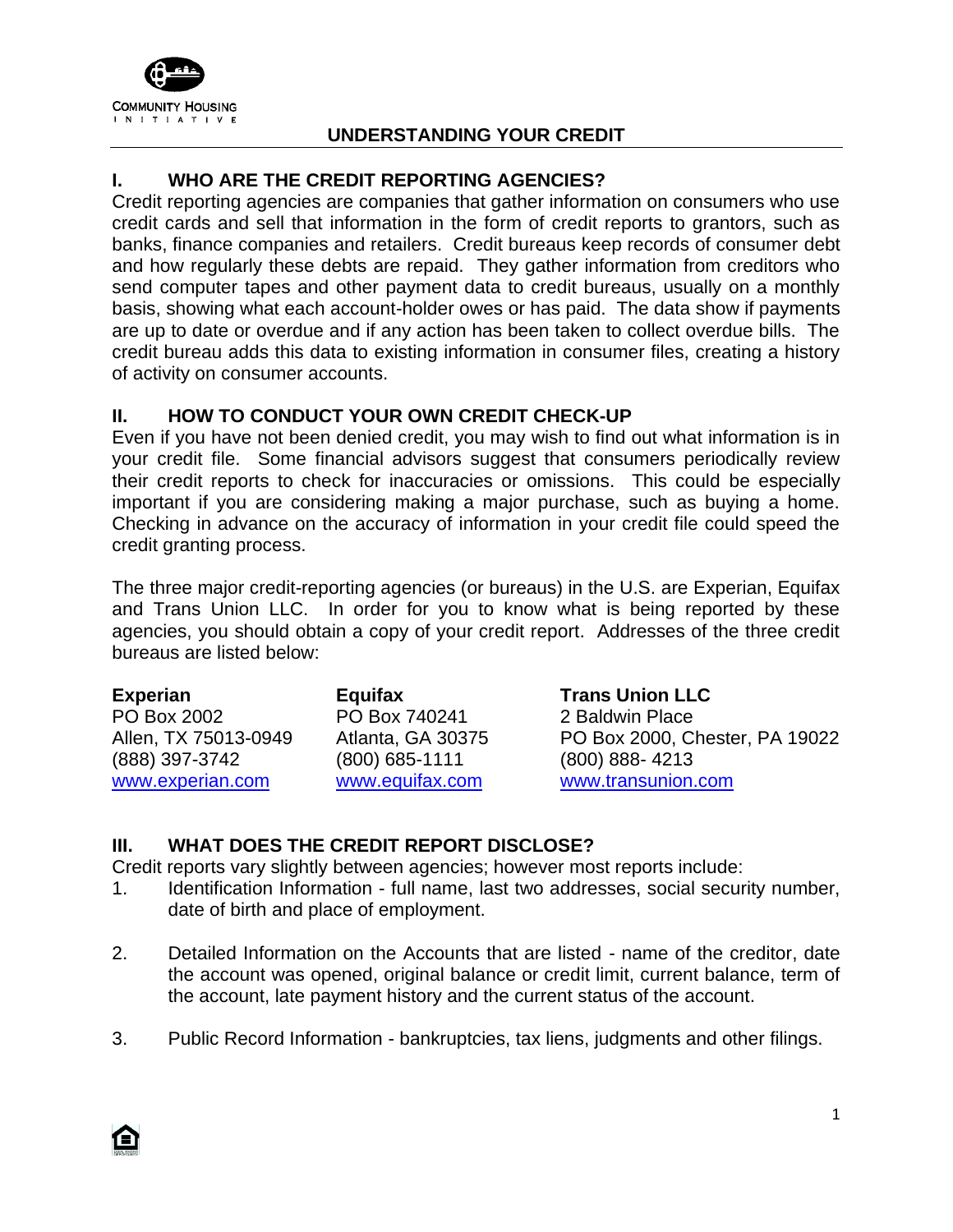

## **I. WHO ARE THE CREDIT REPORTING AGENCIES?**

Credit reporting agencies are companies that gather information on consumers who use credit cards and sell that information in the form of credit reports to grantors, such as banks, finance companies and retailers. Credit bureaus keep records of consumer debt and how regularly these debts are repaid. They gather information from creditors who send computer tapes and other payment data to credit bureaus, usually on a monthly basis, showing what each account-holder owes or has paid. The data show if payments are up to date or overdue and if any action has been taken to collect overdue bills. The credit bureau adds this data to existing information in consumer files, creating a history of activity on consumer accounts.

## **II. HOW TO CONDUCT YOUR OWN CREDIT CHECK-UP**

Even if you have not been denied credit, you may wish to find out what information is in your credit file. Some financial advisors suggest that consumers periodically review their credit reports to check for inaccuracies or omissions. This could be especially important if you are considering making a major purchase, such as buying a home. Checking in advance on the accuracy of information in your credit file could speed the credit granting process.

The three major credit-reporting agencies (or bureaus) in the U.S. are Experian, Equifax and Trans Union LLC. In order for you to know what is being reported by these agencies, you should obtain a copy of your credit report. Addresses of the three credit bureaus are listed below:

| <b>Experian</b>      | Equifax           | <b>Trans Union LLC</b>         |
|----------------------|-------------------|--------------------------------|
| PO Box 2002          | PO Box 740241     | 2 Baldwin Place                |
| Allen, TX 75013-0949 | Atlanta, GA 30375 | PO Box 2000, Chester, PA 19022 |
| (888) 397-3742       | $(800)$ 685-1111  | $(800)$ 888-4213               |
| www.experian.com     | www.equifax.com   | www.transunion.com             |

### **III. WHAT DOES THE CREDIT REPORT DISCLOSE?**

Credit reports vary slightly between agencies; however most reports include:

- 1. Identification Information full name, last two addresses, social security number, date of birth and place of employment.
- 2. Detailed Information on the Accounts that are listed name of the creditor, date the account was opened, original balance or credit limit, current balance, term of the account, late payment history and the current status of the account.
- 3. Public Record Information bankruptcies, tax liens, judgments and other filings.

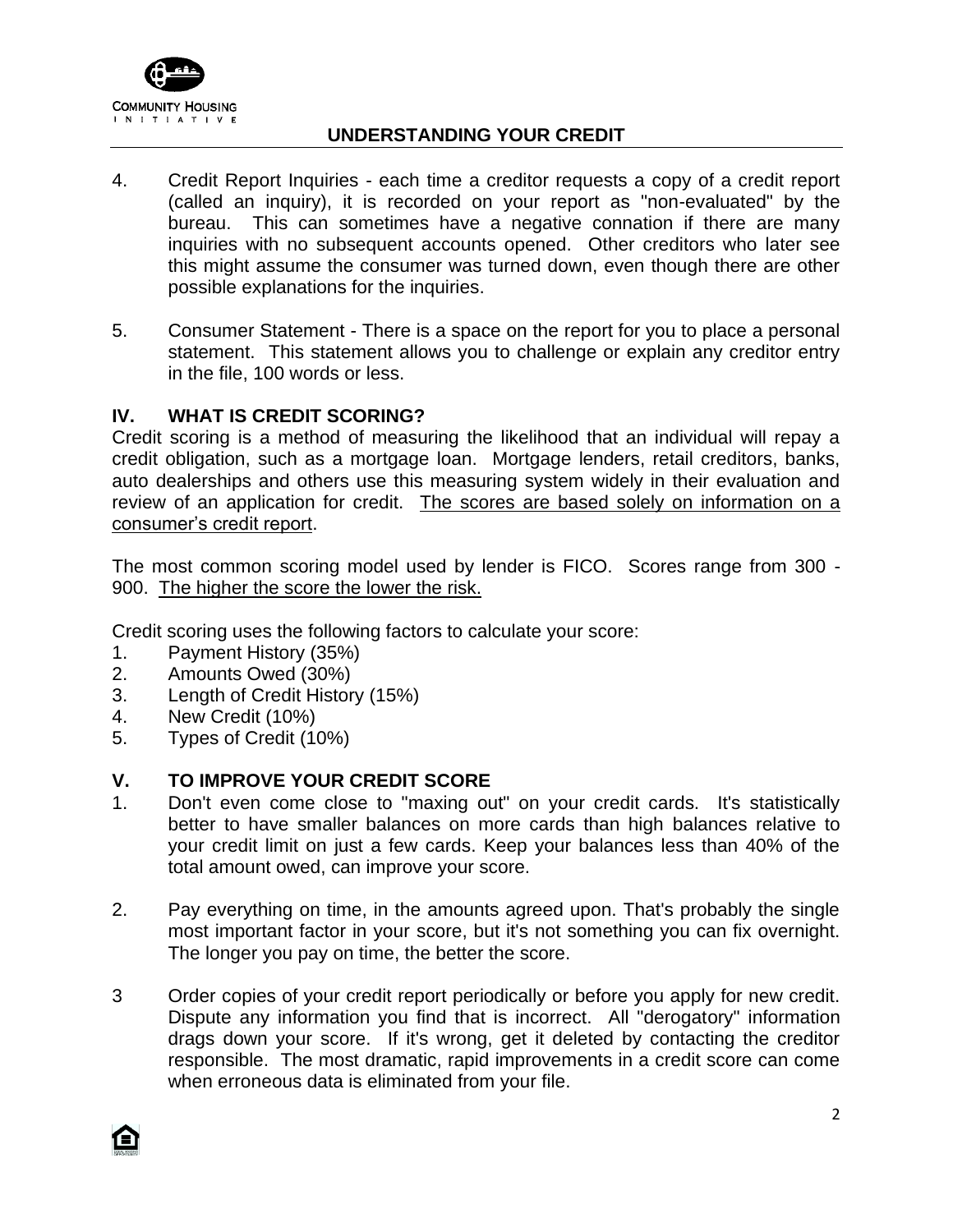

- 4. Credit Report Inquiries each time a creditor requests a copy of a credit report (called an inquiry), it is recorded on your report as "non-evaluated" by the bureau. This can sometimes have a negative connation if there are many inquiries with no subsequent accounts opened. Other creditors who later see this might assume the consumer was turned down, even though there are other possible explanations for the inquiries.
- 5. Consumer Statement There is a space on the report for you to place a personal statement. This statement allows you to challenge or explain any creditor entry in the file, 100 words or less.

### **IV. WHAT IS CREDIT SCORING?**

Credit scoring is a method of measuring the likelihood that an individual will repay a credit obligation, such as a mortgage loan. Mortgage lenders, retail creditors, banks, auto dealerships and others use this measuring system widely in their evaluation and review of an application for credit. The scores are based solely on information on a consumer's credit report.

The most common scoring model used by lender is FICO. Scores range from 300 - 900. The higher the score the lower the risk.

Credit scoring uses the following factors to calculate your score:

- 1. Payment History (35%)
- 2. Amounts Owed (30%)
- 3. Length of Credit History (15%)
- 4. New Credit (10%)
- 5. Types of Credit (10%)

### **V. TO IMPROVE YOUR CREDIT SCORE**

- 1. Don't even come close to "maxing out" on your credit cards. It's statistically better to have smaller balances on more cards than high balances relative to your credit limit on just a few cards. Keep your balances less than 40% of the total amount owed, can improve your score.
- 2. Pay everything on time, in the amounts agreed upon. That's probably the single most important factor in your score, but it's not something you can fix overnight. The longer you pay on time, the better the score.
- 3 Order copies of your credit report periodically or before you apply for new credit. Dispute any information you find that is incorrect. All "derogatory" information drags down your score. If it's wrong, get it deleted by contacting the creditor responsible. The most dramatic, rapid improvements in a credit score can come when erroneous data is eliminated from your file.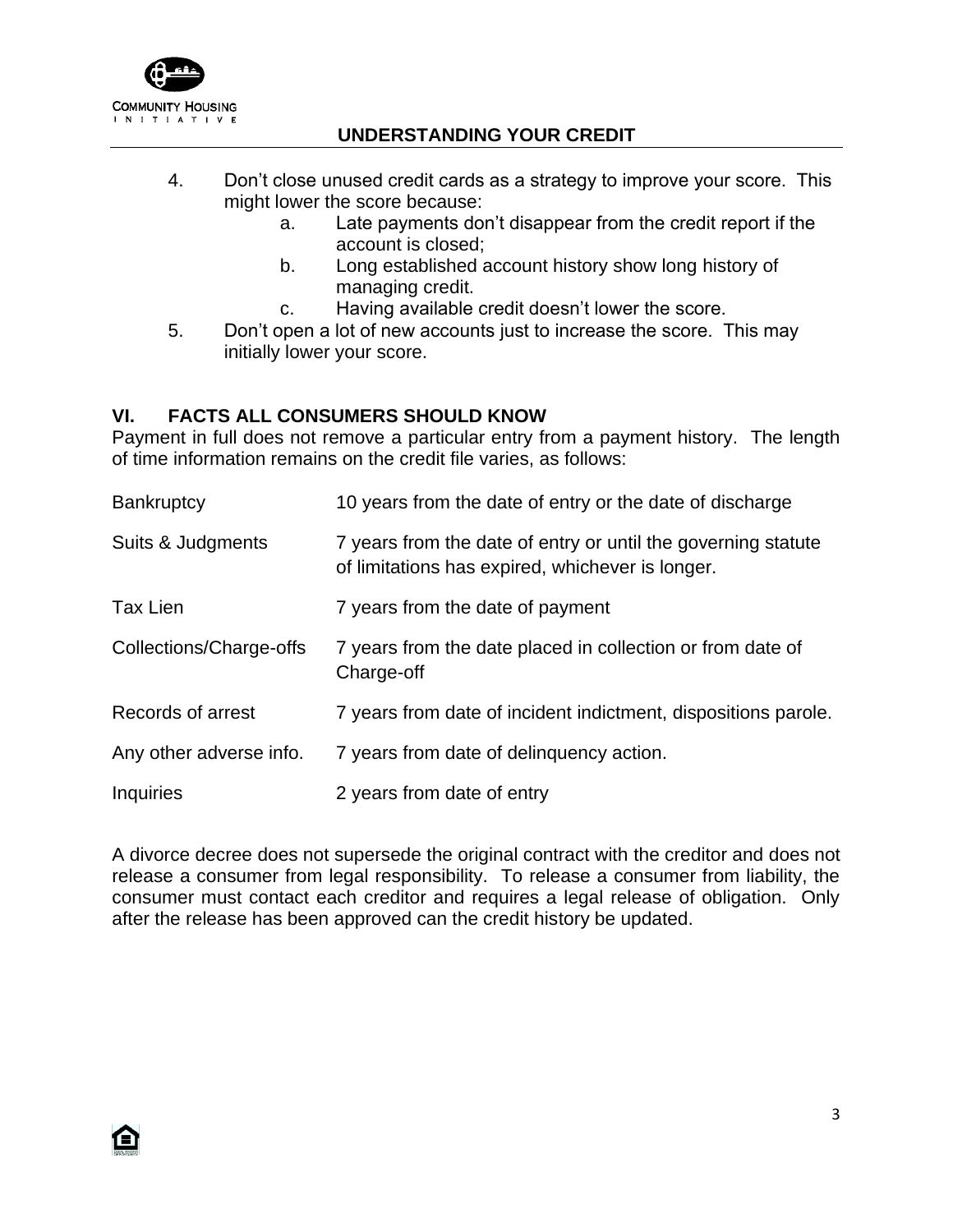

- 4. Don't close unused credit cards as a strategy to improve your score. This might lower the score because:
	- a. Late payments don't disappear from the credit report if the account is closed;
	- b. Long established account history show long history of managing credit.
	- c. Having available credit doesn't lower the score.
- 5. Don't open a lot of new accounts just to increase the score. This may initially lower your score.

### **VI. FACTS ALL CONSUMERS SHOULD KNOW**

Payment in full does not remove a particular entry from a payment history. The length of time information remains on the credit file varies, as follows:

| <b>Bankruptcy</b>       | 10 years from the date of entry or the date of discharge                                                          |  |
|-------------------------|-------------------------------------------------------------------------------------------------------------------|--|
| Suits & Judgments       | 7 years from the date of entry or until the governing statute<br>of limitations has expired, whichever is longer. |  |
| <b>Tax Lien</b>         | 7 years from the date of payment                                                                                  |  |
| Collections/Charge-offs | 7 years from the date placed in collection or from date of<br>Charge-off                                          |  |
| Records of arrest       | 7 years from date of incident indictment, dispositions parole.                                                    |  |
| Any other adverse info. | 7 years from date of delinguency action.                                                                          |  |
| Inquiries               | 2 years from date of entry                                                                                        |  |

A divorce decree does not supersede the original contract with the creditor and does not release a consumer from legal responsibility. To release a consumer from liability, the consumer must contact each creditor and requires a legal release of obligation. Only after the release has been approved can the credit history be updated.